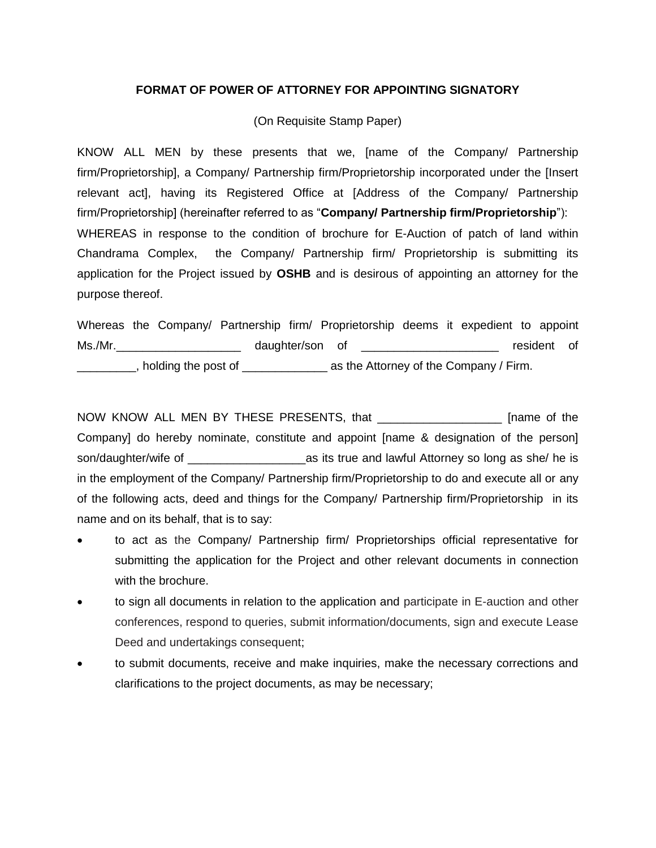## **FORMAT OF POWER OF ATTORNEY FOR APPOINTING SIGNATORY**

## (On Requisite Stamp Paper)

KNOW ALL MEN by these presents that we, [name of the Company/ Partnership firm/Proprietorship], a Company/ Partnership firm/Proprietorship incorporated under the [Insert relevant act], having its Registered Office at [Address of the Company/ Partnership firm/Proprietorship] (hereinafter referred to as "**Company/ Partnership firm/Proprietorship**"): WHEREAS in response to the condition of brochure for E-Auction of patch of land within Chandrama Complex, the Company/ Partnership firm/ Proprietorship is submitting its application for the Project issued by **OSHB** and is desirous of appointing an attorney for the purpose thereof.

Whereas the Company/ Partnership firm/ Proprietorship deems it expedient to appoint Ms./Mr.\_\_\_\_\_\_\_\_\_\_\_\_\_\_\_\_\_\_\_ daughter/son of \_\_\_\_\_\_\_\_\_\_\_\_\_\_\_\_\_\_\_\_\_ resident of **EXECUTE:** holding the post of \_\_\_\_\_\_\_\_\_\_\_\_\_\_\_\_\_\_\_\_\_ as the Attorney of the Company / Firm.

NOW KNOW ALL MEN BY THESE PRESENTS, that \_\_\_\_\_\_\_\_\_\_\_\_\_\_\_\_\_\_\_ [name of the Company] do hereby nominate, constitute and appoint [name & designation of the person] son/daughter/wife of \_\_\_\_\_\_\_\_\_\_\_\_\_\_\_\_\_\_as its true and lawful Attorney so long as she/ he is in the employment of the Company/ Partnership firm/Proprietorship to do and execute all or any of the following acts, deed and things for the Company/ Partnership firm/Proprietorship in its name and on its behalf, that is to say:

- to act as the Company/ Partnership firm/ Proprietorships official representative for submitting the application for the Project and other relevant documents in connection with the brochure.
- to sign all documents in relation to the application and participate in E-auction and other conferences, respond to queries, submit information/documents, sign and execute Lease Deed and undertakings consequent;
- to submit documents, receive and make inquiries, make the necessary corrections and clarifications to the project documents, as may be necessary;